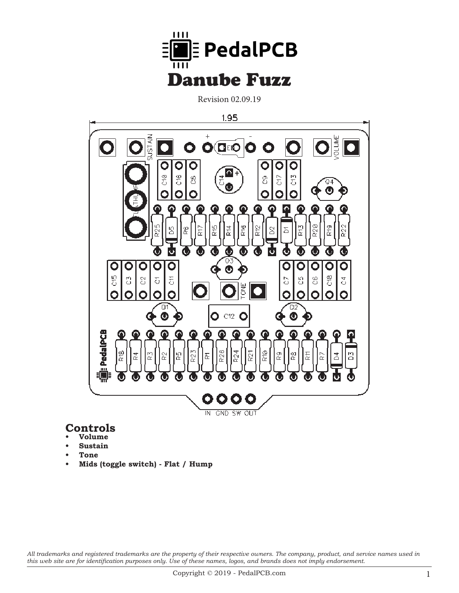

Revision 02.09.19



### **Controls**

- **• Volume**
- **Sustain**
- **• Tone**
- **• Mids (toggle switch) - Flat / Hump**

*All trademarks and registered trademarks are the property of their respective owners. The company, product, and service names used in this web site are for identification purposes only. Use of these names, logos, and brands does not imply endorsement.*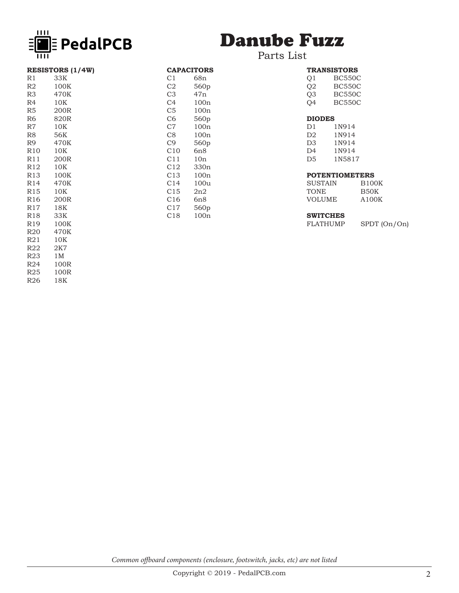

# Danube Fuzz

#### Parts List

CAPACITORS<br>C1 68n C1 68n<br>C2 560p C2 560p<br>C3 47n C3 47n<br>C4 100r C4 100n<br>C5 100n C5 100n<br>C6 560p 560p

C7 100n C8 100n<br>C9 560p C9 560p<br>C10 6n8 C10 6n8<br>C11 10n C11 10n<br>C12 330r C12 330n<br>C13 100n 100<sub>n</sub>

C14 100u C15 2n2 C16 6n8 C17 560p C18 100n

| <b>RESISTORS (1/4W)</b> |                  |  |
|-------------------------|------------------|--|
| R1                      | 33K              |  |
| R2                      | 100K             |  |
| R3                      | 470K             |  |
| R4                      | 10K              |  |
| R5                      | 200R             |  |
| R6                      | 820R             |  |
| R7                      | 10K              |  |
| R8                      | 56K              |  |
| R9                      | 470K             |  |
| R10                     | 10K              |  |
| R11                     | 200 <sub>R</sub> |  |
| R12                     | 10K              |  |
| R13                     | 100K             |  |
| R <sub>14</sub>         | 470K             |  |
| R15                     | 10K              |  |
| R16                     | 200R             |  |
| R17                     | 18K              |  |
| R18                     | 33K              |  |
| R19                     | 100K             |  |
| R20                     | 470K             |  |
| R21                     | 10K              |  |
| R22                     | 2K7              |  |
| R23                     | 1 M              |  |
| R24                     | 100R             |  |
| R25                     | 100R             |  |
| R26                     | 18K              |  |

|                | <b>TRANSISTORS</b> |
|----------------|--------------------|
| Q <sub>1</sub> | <b>BC550C</b>      |
| O <sub>2</sub> | <b>BC550C</b>      |
| O <sub>3</sub> | <b>BC550C</b>      |
| O4             | <b>BC550C</b>      |
| <b>DIODES</b>  |                    |
| D1             | 1N914              |
| D2             | 1N914              |
| DЗ             | 1N914              |

D3 1N914 D4 1N914 D5 1N5817

#### **POTENTIOMETERS**

| <b>B100K</b> |
|--------------|
| B50K         |
| A100K        |
|              |

## **SWITCHES**

SPDT (On/On)

*Common offboard components (enclosure, footswitch, jacks, etc) are not listed*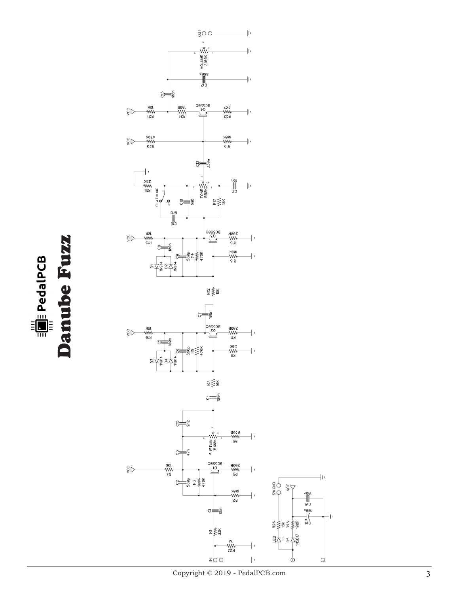

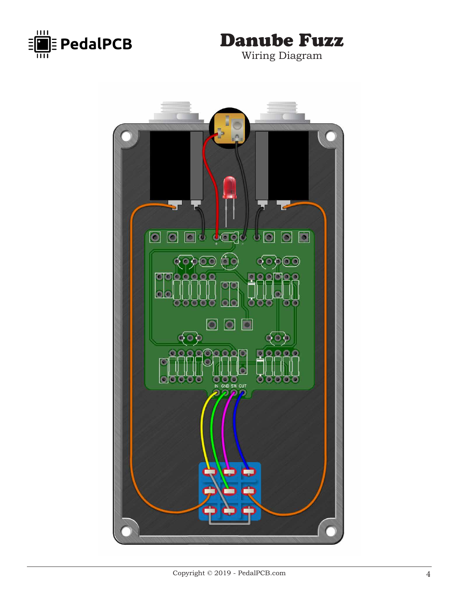



Wiring Diagram